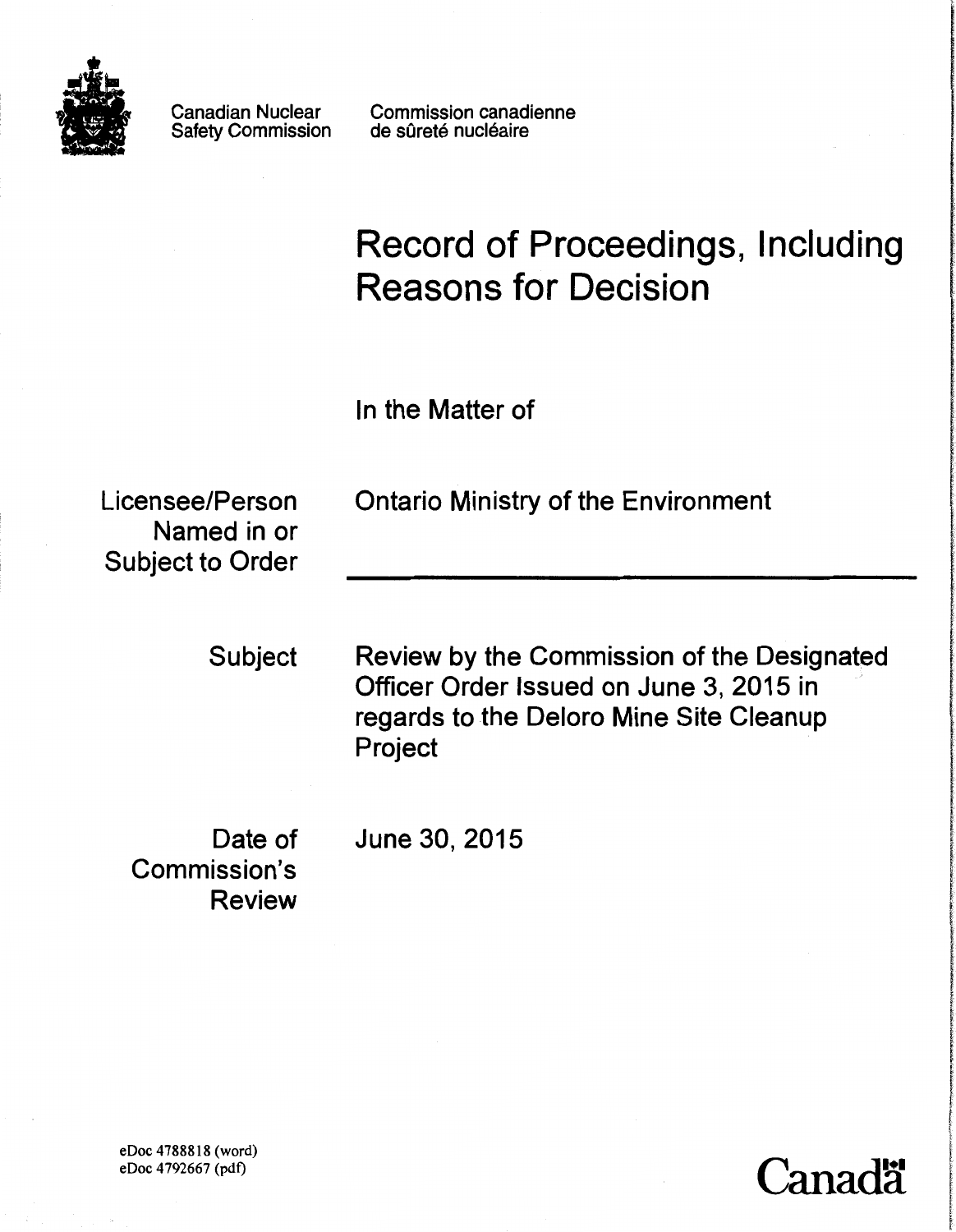

Canadian Nuclear Safety Commission Commission canadienne de sûreté nucléaire

# Record of Proceedings, Including Reasons for Decision

In the Matter of

Named in or Subject to Order

Licensee/Person Ontario Ministry of the Environment

Subject Review by the Commission of the Designated Officer Order Issued on June 3, 2015 in regards to the Delora Mine Site Cleanup Project

'anad**a** 

wholesa a difference a labor more

In the College Communication of the College College College College College College College College College Co

f

f '

Commission's Review

Date of June 30, 2015

eDoc 4788818 (word) eDoc 4792667 (pdt)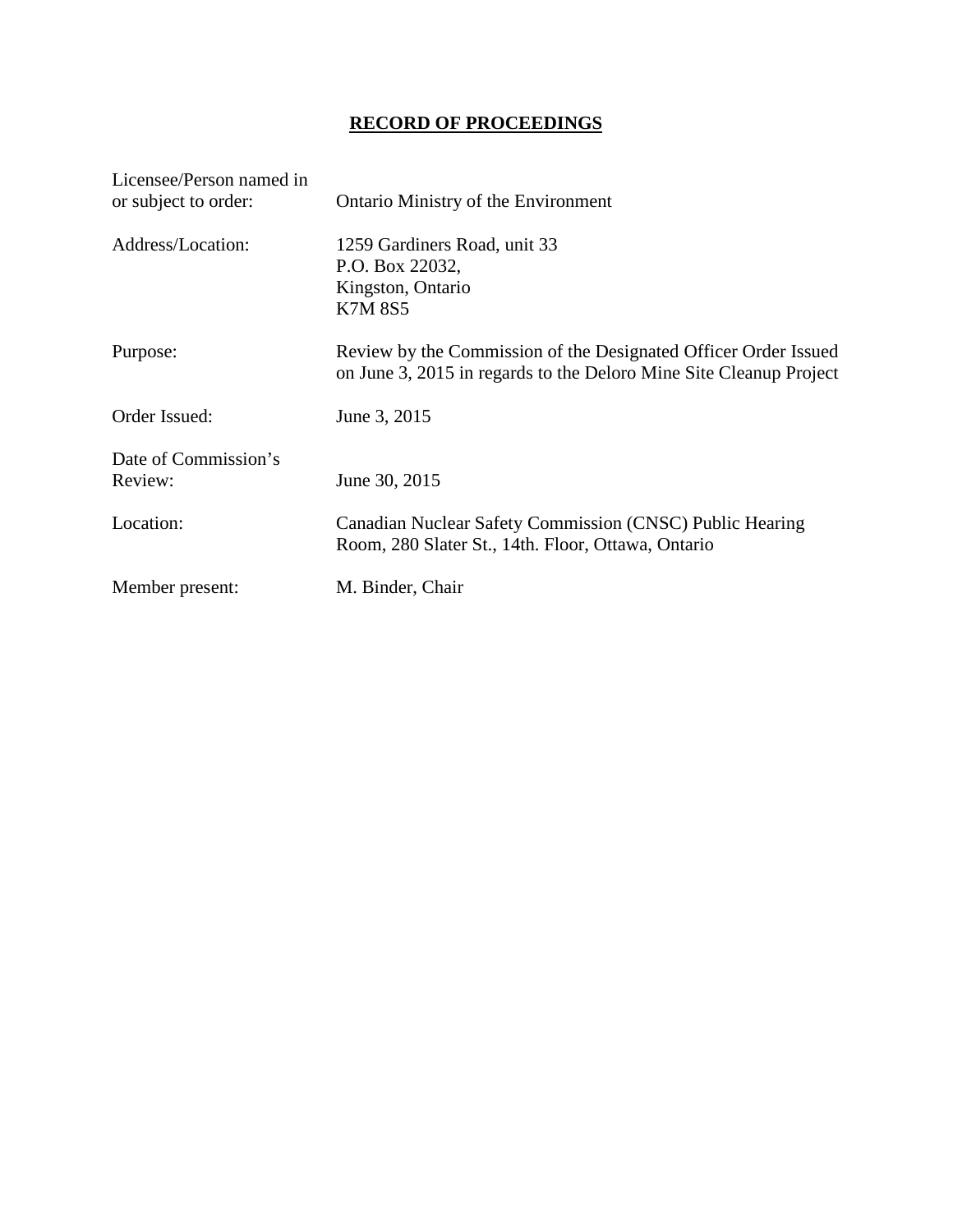# **RECORD OF PROCEEDINGS**

| Licensee/Person named in<br>or subject to order: | <b>Ontario Ministry of the Environment</b>                                                                                            |
|--------------------------------------------------|---------------------------------------------------------------------------------------------------------------------------------------|
| Address/Location:                                | 1259 Gardiners Road, unit 33<br>P.O. Box 22032,<br>Kingston, Ontario<br><b>K7M 8S5</b>                                                |
| Purpose:                                         | Review by the Commission of the Designated Officer Order Issued<br>on June 3, 2015 in regards to the Deloro Mine Site Cleanup Project |
| Order Issued:                                    | June 3, 2015                                                                                                                          |
| Date of Commission's<br>Review:                  | June 30, 2015                                                                                                                         |
| Location:                                        | Canadian Nuclear Safety Commission (CNSC) Public Hearing<br>Room, 280 Slater St., 14th. Floor, Ottawa, Ontario                        |
| Member present:                                  | M. Binder, Chair                                                                                                                      |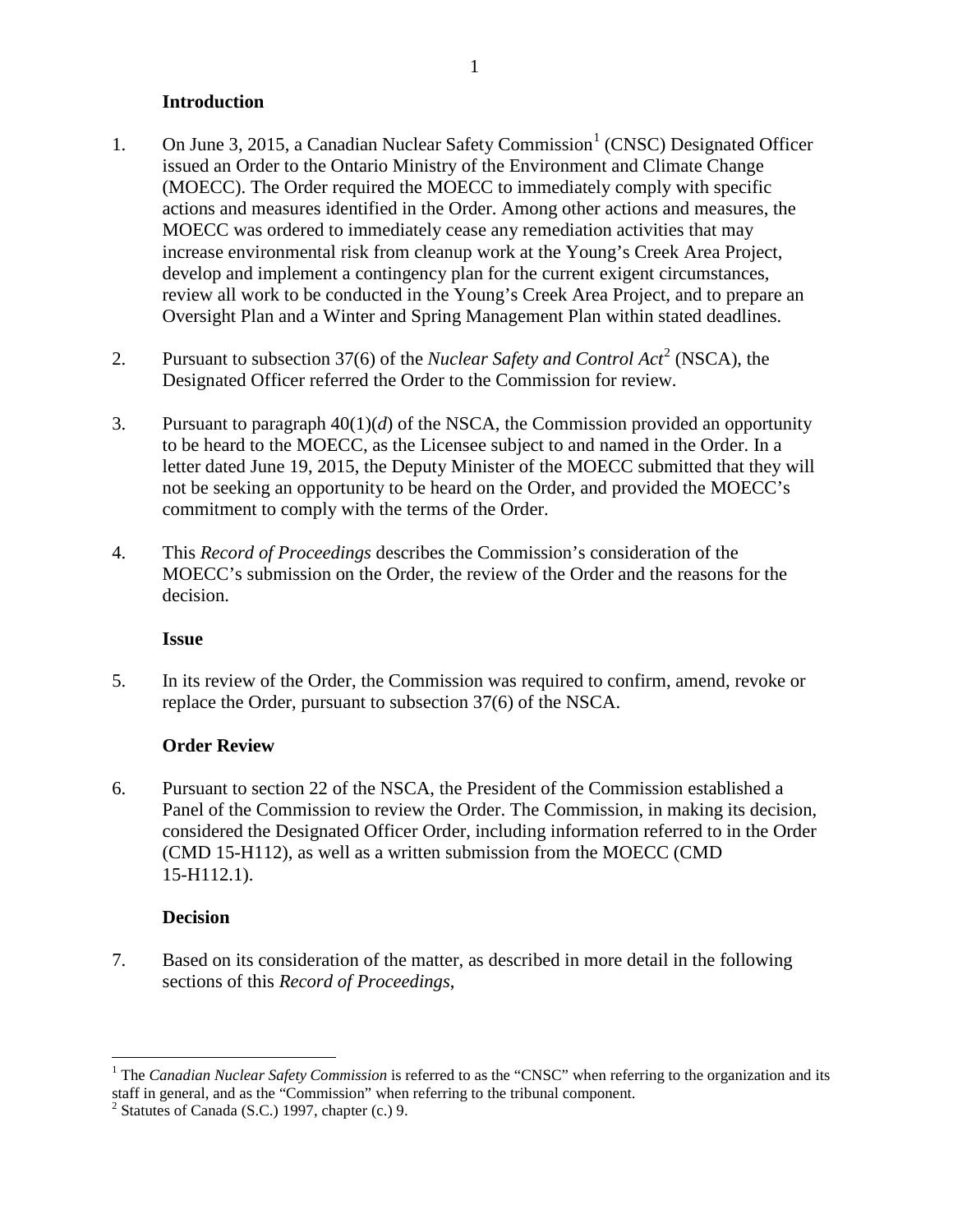# <span id="page-3-0"></span>**Introduction**

- [1](#page-3-2). On June 3, 2015, a Canadian Nuclear Safety Commission<sup>1</sup> (CNSC) Designated Officer issued an Order to the Ontario Ministry of the Environment and Climate Change (MOECC). The Order required the MOECC to immediately comply with specific actions and measures identified in the Order. Among other actions and measures, the MOECC was ordered to immediately cease any remediation activities that may increase environmental risk from cleanup work at the Young's Creek Area Project, develop and implement a contingency plan for the current exigent circumstances, review all work to be conducted in the Young's Creek Area Project, and to prepare an Oversight Plan and a Winter and Spring Management Plan within stated deadlines.
- [2](#page-3-3). Pursuant to subsection 37(6) of the *Nuclear Safety and Control Act*<sup>2</sup> (NSCA), the Designated Officer referred the Order to the Commission for review.
- 3. Pursuant to paragraph 40(1)(*d*) of the NSCA, the Commission provided an opportunity to be heard to the MOECC, as the Licensee subject to and named in the Order. In a letter dated June 19, 2015, the Deputy Minister of the MOECC submitted that they will not be seeking an opportunity to be heard on the Order, and provided the MOECC's commitment to comply with the terms of the Order.
- 4. This *Record of Proceedings* describes the Commission's consideration of the MOECC's submission on the Order, the review of the Order and the reasons for the decision.

# **Issue**

5. In its review of the Order, the Commission was required to confirm, amend, revoke or replace the Order, pursuant to subsection 37(6) of the NSCA.

# **Order Review**

6. Pursuant to section 22 of the NSCA, the President of the Commission established a Panel of the Commission to review the Order. The Commission, in making its decision, considered the Designated Officer Order, including information referred to in the Order (CMD 15-H112), as well as a written submission from the MOECC (CMD 15-H112.1).

# <span id="page-3-1"></span>**Decision**

7. Based on its consideration of the matter, as described in more detail in the following sections of this *Record of Proceedings*,

<span id="page-3-2"></span><sup>&</sup>lt;sup>1</sup> The *Canadian Nuclear Safety Commission* is referred to as the "CNSC" when referring to the organization and its staff in general, and as the "Commission" when referring to the tribunal component.

<span id="page-3-3"></span> $2$  Statutes of Canada (S.C.) 1997, chapter (c.) 9.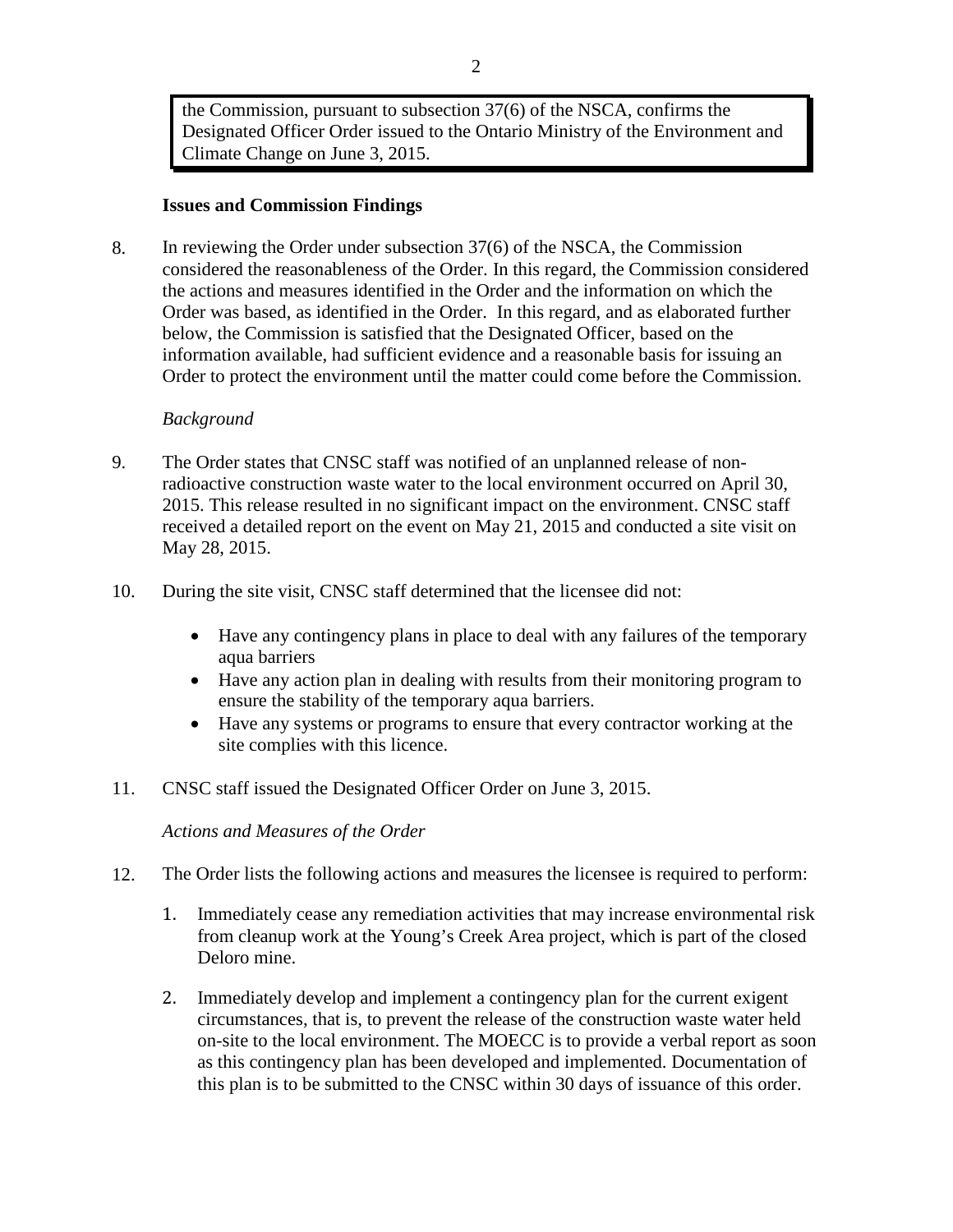the Commission, pursuant to subsection 37(6) of the NSCA, confirms the Designated Officer Order issued to the Ontario Ministry of the Environment and Climate Change on June 3, 2015.

### <span id="page-4-0"></span>**Issues and Commission Findings**

8. In reviewing the Order under subsection 37(6) of the NSCA, the Commission considered the reasonableness of the Order. In this regard, the Commission considered the actions and measures identified in the Order and the information on which the Order was based, as identified in the Order. In this regard, and as elaborated further below, the Commission is satisfied that the Designated Officer, based on the information available, had sufficient evidence and a reasonable basis for issuing an Order to protect the environment until the matter could come before the Commission.

#### *Background*

- 9. The Order states that CNSC staff was notified of an unplanned release of nonradioactive construction waste water to the local environment occurred on April 30, 2015. This release resulted in no significant impact on the environment. CNSC staff received a detailed report on the event on May 21, 2015 and conducted a site visit on May 28, 2015.
- 10. During the site visit, CNSC staff determined that the licensee did not:
	- Have any contingency plans in place to deal with any failures of the temporary aqua barriers
	- Have any action plan in dealing with results from their monitoring program to ensure the stability of the temporary aqua barriers.
	- Have any systems or programs to ensure that every contractor working at the site complies with this licence.
- 11. CNSC staff issued the Designated Officer Order on June 3, 2015.

<span id="page-4-1"></span>*Actions and Measures of the Order* 

- 12. The Order lists the following actions and measures the licensee is required to perform:
	- 1. Immediately cease any remediation activities that may increase environmental risk from cleanup work at the Young's Creek Area project, which is part of the closed Deloro mine.
	- 2. Immediately develop and implement a contingency plan for the current exigent circumstances, that is, to prevent the release of the construction waste water held on-site to the local environment. The MOECC is to provide a verbal report as soon as this contingency plan has been developed and implemented. Documentation of this plan is to be submitted to the CNSC within 30 days of issuance of this order.